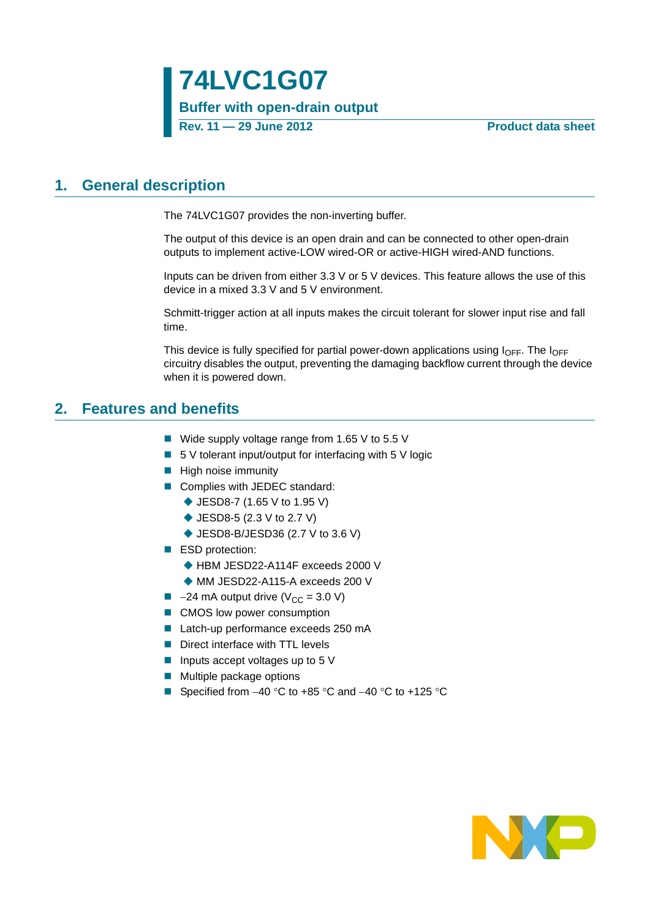## <span id="page-0-0"></span>**1. General description**

The 74LVC1G07 provides the non-inverting buffer.

The output of this device is an open drain and can be connected to other open-drain outputs to implement active-LOW wired-OR or active-HIGH wired-AND functions.

Inputs can be driven from either 3.3 V or 5 V devices. This feature allows the use of this device in a mixed 3.3 V and 5 V environment.

Schmitt-trigger action at all inputs makes the circuit tolerant for slower input rise and fall time.

This device is fully specified for partial power-down applications using  $I_{\text{OFF}}$ . The  $I_{\text{OFF}}$ circuitry disables the output, preventing the damaging backflow current through the device when it is powered down.

### <span id="page-0-1"></span>**2. Features and benefits**

- Wide supply voltage range from 1.65 V to 5.5 V
- $\blacksquare$  5 V tolerant input/output for interfacing with 5 V logic
- $\blacksquare$  High noise immunity
- Complies with JEDEC standard:
	- ◆ JESD8-7 (1.65 V to 1.95 V)
	- ◆ JESD8-5 (2.3 V to 2.7 V)
	- ◆ JESD8-B/JESD36 (2.7 V to 3.6 V)
- ESD protection:
	- ◆ HBM JESD22-A114F exceeds 2000 V
	- ◆ MM JESD22-A115-A exceeds 200 V
- $\blacksquare$  -24 mA output drive (V<sub>CC</sub> = 3.0 V)
- CMOS low power consumption
- Latch-up performance exceeds 250 mA
- Direct interface with TTL levels
- Inputs accept voltages up to  $5V$
- **Multiple package options**
- Specified from  $-40$  °C to  $+85$  °C and  $-40$  °C to  $+125$  °C

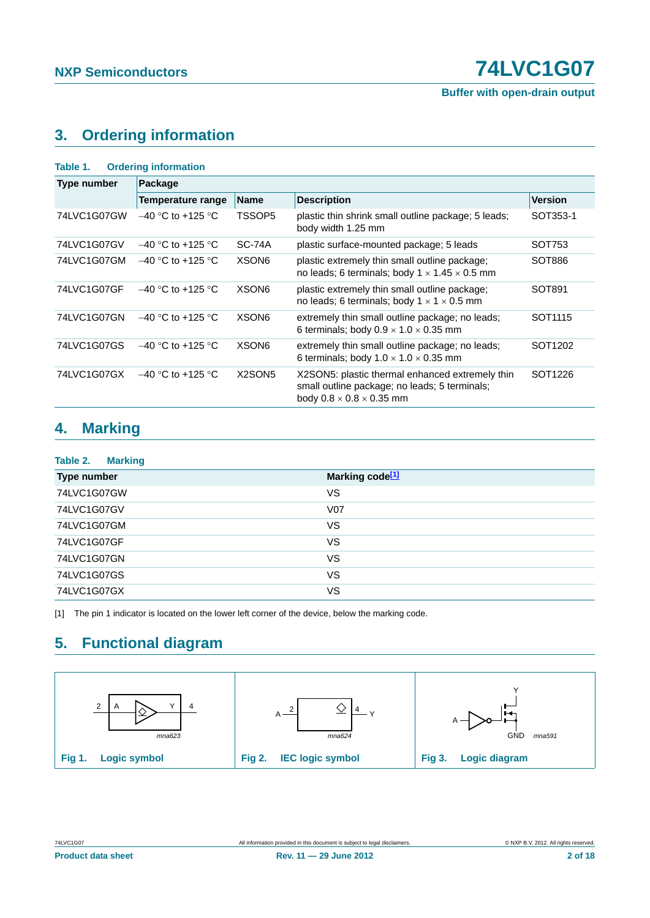**Buffer with open-drain output**

## <span id="page-1-1"></span>**3. Ordering information**

| Table 1.           | <b>Ordering information</b> |                                 |                                                                                                                                          |                     |  |
|--------------------|-----------------------------|---------------------------------|------------------------------------------------------------------------------------------------------------------------------------------|---------------------|--|
| <b>Type number</b> | Package                     |                                 |                                                                                                                                          |                     |  |
|                    | Temperature range           | <b>Name</b>                     | <b>Description</b>                                                                                                                       | <b>Version</b>      |  |
| 74LVC1G07GW        | $-40$ °C to +125 °C         | TSSOP5                          | plastic thin shrink small outline package; 5 leads;<br>body width 1.25 mm                                                                | SOT353-1            |  |
| 74LVC1G07GV        | $-40$ °C to +125 °C         | <b>SC-74A</b>                   | plastic surface-mounted package; 5 leads                                                                                                 | SOT753              |  |
| 74LVC1G07GM        | $-40$ °C to +125 °C         | XSON <sub>6</sub>               | plastic extremely thin small outline package;<br>no leads; 6 terminals; body $1 \times 1.45 \times 0.5$ mm                               | SOT886              |  |
| 74LVC1G07GF        | $-40$ °C to +125 °C         | XSON <sub>6</sub>               | plastic extremely thin small outline package;<br>no leads; 6 terminals; body $1 \times 1 \times 0.5$ mm                                  | SOT891              |  |
| 74LVC1G07GN        | $-40$ °C to +125 °C         | XSON <sub>6</sub>               | extremely thin small outline package; no leads;<br>6 terminals; body $0.9 \times 1.0 \times 0.35$ mm                                     | SOT <sub>1115</sub> |  |
| 74LVC1G07GS        | $-40$ °C to +125 °C         | XSON <sub>6</sub>               | extremely thin small outline package; no leads;<br>6 terminals; body $1.0 \times 1.0 \times 0.35$ mm                                     | SOT <sub>1202</sub> |  |
| 74LVC1G07GX        | $-40$ °C to +125 °C         | X <sub>2</sub> SON <sub>5</sub> | X2SON5: plastic thermal enhanced extremely thin<br>small outline package; no leads; 5 terminals;<br>body $0.8 \times 0.8 \times 0.35$ mm | SOT <sub>1226</sub> |  |

## <span id="page-1-2"></span>**4. Marking**

| Table 2.<br><b>Marking</b> |                             |
|----------------------------|-----------------------------|
| Type number                | Marking code <sup>[1]</sup> |
| 74LVC1G07GW                | VS                          |
| 74LVC1G07GV                | <b>V07</b>                  |
| 74LVC1G07GM                | VS                          |
| 74LVC1G07GF                | VS                          |
| 74LVC1G07GN                | VS                          |
| 74LVC1G07GS                | VS                          |
| 74LVC1G07GX                | VS                          |

<span id="page-1-0"></span>[1] The pin 1 indicator is located on the lower left corner of the device, below the marking code.

## <span id="page-1-3"></span>**5. Functional diagram**

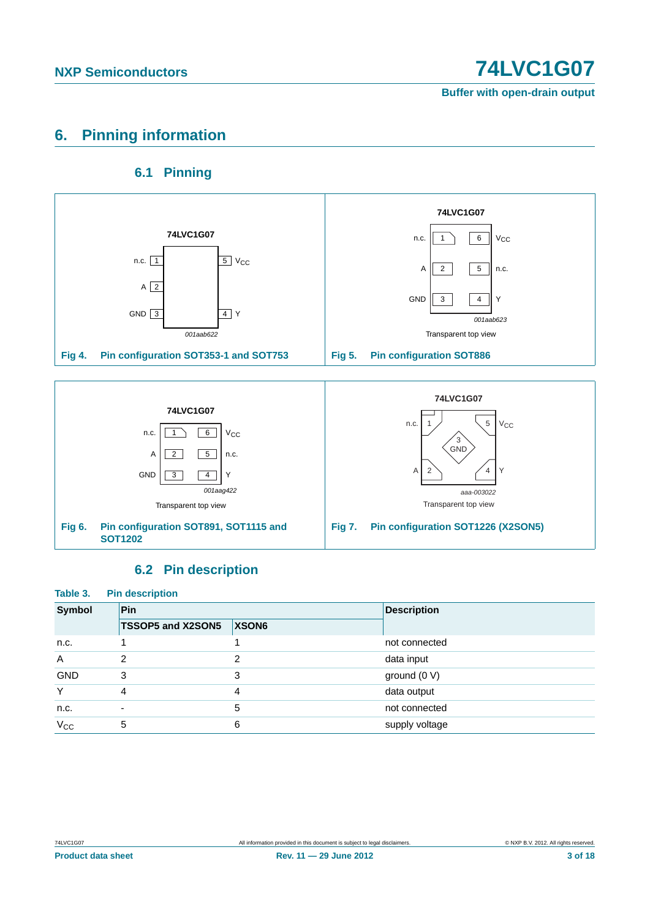**Buffer with open-drain output**

## <span id="page-2-0"></span>**6. Pinning information**

### **6.1 Pinning**

<span id="page-2-1"></span>

### **6.2 Pin description**

<span id="page-2-2"></span>

| Table 3.<br><b>Pin description</b> |                          |                   |                    |  |  |  |
|------------------------------------|--------------------------|-------------------|--------------------|--|--|--|
| <b>Symbol</b>                      | Pin                      |                   | <b>Description</b> |  |  |  |
|                                    | <b>TSSOP5 and X2SON5</b> | XSON <sub>6</sub> |                    |  |  |  |
| n.c.                               |                          |                   | not connected      |  |  |  |
| $\overline{A}$                     | 2                        | າ                 | data input         |  |  |  |
| <b>GND</b>                         | 3                        | 3                 | ground $(0 V)$     |  |  |  |
| Y                                  | 4                        | 4                 | data output        |  |  |  |
| n.c.                               | ٠                        | 5                 | not connected      |  |  |  |
| $V_{\rm CC}$                       | 5                        | 6                 | supply voltage     |  |  |  |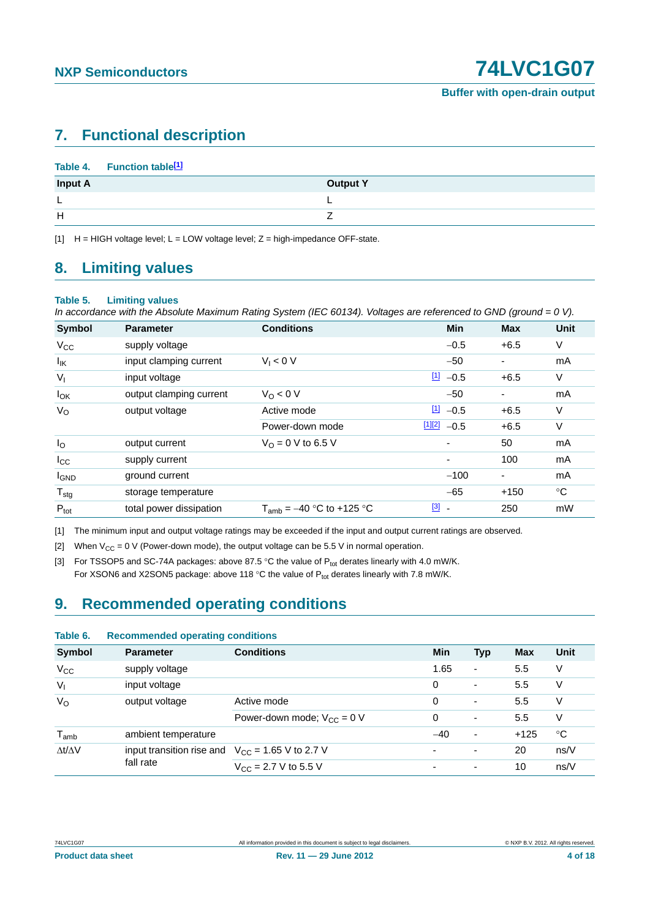## <span id="page-3-4"></span>**7. Functional description**

|                | Table 4. Function table <sup>[1]</sup> |                 |
|----------------|----------------------------------------|-----------------|
| <b>Input A</b> |                                        | <b>Output Y</b> |
| ┗              |                                        |                 |
| H              |                                        |                 |
|                |                                        |                 |

<span id="page-3-0"></span> $[1]$  H = HIGH voltage level; L = LOW voltage level; Z = high-impedance OFF-state.

### <span id="page-3-5"></span>**8. Limiting values**

#### **Table 5. Limiting values**

*In accordance with the Absolute Maximum Rating System (IEC 60134). Voltages are referenced to GND (ground = 0 V).*

| <b>Symbol</b>     | <b>Parameter</b>        | <b>Conditions</b>             | <b>Min</b>                        | <b>Max</b> | <b>Unit</b> |
|-------------------|-------------------------|-------------------------------|-----------------------------------|------------|-------------|
| $V_{CC}$          | supply voltage          |                               | $-0.5$                            | $+6.5$     | V           |
| $I_{\mathsf{IK}}$ | input clamping current  | $V_1 < 0$ V                   | $-50$                             |            | mA          |
| $V_{I}$           | input voltage           |                               | $11 - 0.5$                        | $+6.5$     | V           |
| $I_{OK}$          | output clamping current | $V_0 < 0 V$                   | $-50$                             |            | mA          |
| $V_{\rm O}$       | output voltage          | Active mode                   | $11 - 0.5$                        | $+6.5$     | V           |
|                   |                         | Power-down mode               | [1][2]<br>$-0.5$                  | $+6.5$     | V           |
| $I_{\rm O}$       | output current          | $V_0 = 0$ V to 6.5 V          | $\overline{\phantom{a}}$          | 50         | mA          |
| $I_{\rm CC}$      | supply current          |                               | ٠                                 | 100        | mA          |
| <b>I</b> GND      | ground current          |                               | $-100$                            |            | mA          |
| $T_{\text{stg}}$  | storage temperature     |                               | $-65$                             | $+150$     | $^{\circ}C$ |
| $P_{\text{tot}}$  | total power dissipation | $T_{amb} = -40$ °C to +125 °C | $[3]$<br>$\overline{\phantom{a}}$ | 250        | mW          |

<span id="page-3-1"></span>[1] The minimum input and output voltage ratings may be exceeded if the input and output current ratings are observed.

<span id="page-3-2"></span>[2] When  $V_{CC} = 0$  V (Power-down mode), the output voltage can be 5.5 V in normal operation.

<span id="page-3-3"></span>[3] For TSSOP5 and SC-74A packages: above 87.5 °C the value of  $P_{tot}$  derates linearly with 4.0 mW/K.

For XSON6 and X2SON5 package: above 118 °C the value of  $P_{tot}$  derates linearly with 7.8 mW/K.

## <span id="page-3-6"></span>**9. Recommended operating conditions**

| Table 6.                    | <b>Recommended operating conditions</b> |                                          |                          |                          |        |             |
|-----------------------------|-----------------------------------------|------------------------------------------|--------------------------|--------------------------|--------|-------------|
| <b>Symbol</b>               | <b>Parameter</b>                        | <b>Conditions</b>                        | Min                      | <b>Typ</b>               | Max    | Unit        |
| $V_{\rm CC}$                | supply voltage                          |                                          | 1.65                     | $\overline{\phantom{a}}$ | 5.5    | V           |
| $V_{1}$                     | input voltage                           |                                          | 0                        | $\overline{\phantom{a}}$ | 5.5    | V           |
| $V_{\rm O}$                 | output voltage                          | Active mode                              | 0                        | $\overline{\phantom{a}}$ | 5.5    | V           |
|                             |                                         | Power-down mode: $V_{CC} = 0$ V          | 0                        | $\blacksquare$           | 5.5    | V           |
| $\mathsf{T}_{\mathsf{amb}}$ | ambient temperature                     |                                          | $-40$                    | $\overline{\phantom{a}}$ | $+125$ | $^{\circ}C$ |
| $\Delta t/\Delta V$         | input transition rise and<br>fall rate  | $V_{\text{CC}}$ = 1.65 V to 2.7 V        | ٠                        | ٠                        | 20     | ns/V        |
|                             |                                         | $V_{\text{CC}} = 2.7 \text{ V}$ to 5.5 V | $\overline{\phantom{0}}$ | ۰                        | 10     | ns/V        |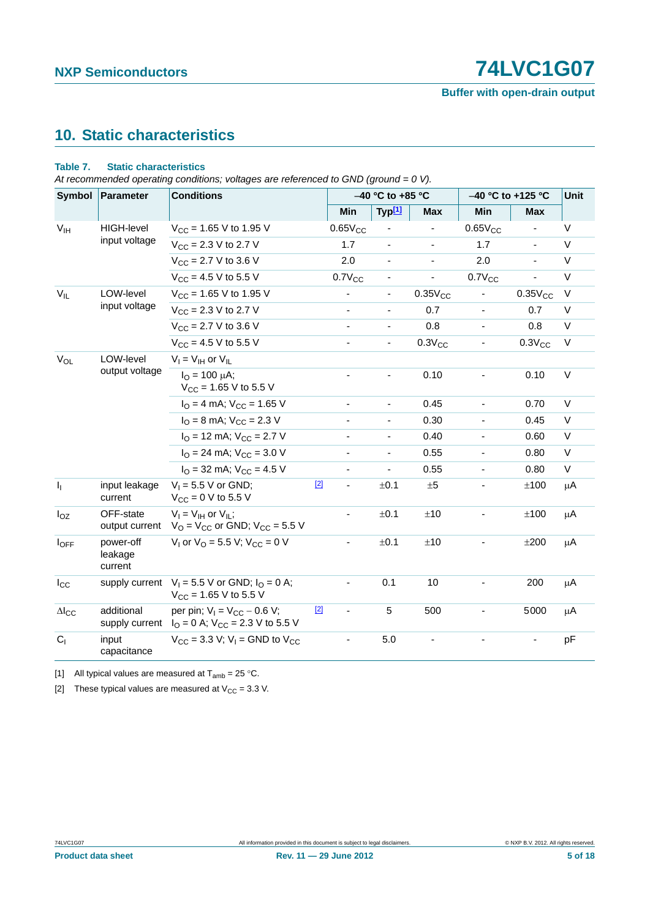**Buffer with open-drain output**

## <span id="page-4-2"></span>**10. Static characteristics**

#### **Table 7. Static characteristics**

*At recommended operating conditions; voltages are referenced to GND (ground = 0 V).*

| Symbol          | Parameter                       | <b>Conditions</b>                                                                       |              | -40 °C to +85 °C         |                          |                | -40 °C to +125 °C        |                              | <b>Unit</b> |
|-----------------|---------------------------------|-----------------------------------------------------------------------------------------|--------------|--------------------------|--------------------------|----------------|--------------------------|------------------------------|-------------|
|                 |                                 |                                                                                         | Min          |                          | Typ <sup>[1]</sup>       | <b>Max</b>     | Min                      | <b>Max</b>                   |             |
| V <sub>IH</sub> | <b>HIGH-level</b>               | $V_{CC}$ = 1.65 V to 1.95 V                                                             | $0.65V_{CC}$ |                          |                          |                | $0.65V_{CC}$             | $\qquad \qquad \blacksquare$ | V           |
| input voltage   | $V_{CC}$ = 2.3 V to 2.7 V       | 1.7                                                                                     |              | $\overline{\phantom{a}}$ | $\blacksquare$           | 1.7            |                          | V                            |             |
|                 |                                 | $V_{CC}$ = 2.7 V to 3.6 V                                                               | 2.0          |                          | $\overline{\phantom{a}}$ | $\blacksquare$ | 2.0                      | $\blacksquare$               | V           |
|                 |                                 | $V_{CC}$ = 4.5 V to 5.5 V                                                               | $0.7V_{CC}$  |                          | ۰                        | $\blacksquare$ | $0.7V_{CC}$              |                              | V           |
| $V_{IL}$        | LOW-level                       | $V_{CC}$ = 1.65 V to 1.95 V                                                             | ÷,           |                          | $\overline{\phantom{a}}$ | $0.35V_{CC}$   | $\overline{\phantom{a}}$ | $0.35V_{CC}$                 | $\vee$      |
|                 | input voltage                   | $V_{\text{CC}} = 2.3 \text{ V}$ to 2.7 V                                                |              |                          | $\overline{\phantom{a}}$ | 0.7            | $\overline{\phantom{a}}$ | 0.7                          | V           |
|                 |                                 | $V_{CC}$ = 2.7 V to 3.6 V                                                               |              |                          | $\frac{1}{2}$            | 0.8            |                          | 0.8                          | $\vee$      |
|                 |                                 | $V_{CC}$ = 4.5 V to 5.5 V                                                               | -            |                          | $\overline{\phantom{a}}$ | $0.3V_{CC}$    | $\overline{\phantom{a}}$ | $0.3V_{CC}$                  | V           |
| $V_{OL}$        | LOW-level                       | $V_I = V_{IH}$ or $V_{IL}$                                                              |              |                          |                          |                |                          |                              |             |
|                 | output voltage                  | $I_{\Omega} = 100 \mu A$ ;<br>$V_{CC}$ = 1.65 V to 5.5 V                                |              |                          | $\blacksquare$           | 0.10           |                          | 0.10                         | $\vee$      |
|                 |                                 | $IO = 4 mA$ ; $VCC = 1.65 V$                                                            | ٠            |                          | $\blacksquare$           | 0.45           | $\frac{1}{2}$            | 0.70                         | V           |
|                 |                                 | $IO = 8$ mA; $VCC = 2.3$ V                                                              |              |                          | $\blacksquare$           | 0.30           | $\blacksquare$           | 0.45                         | $\vee$      |
|                 |                                 | $IO$ = 12 mA; $VCC$ = 2.7 V                                                             |              |                          | $\blacksquare$           | 0.40           | $\overline{\phantom{a}}$ | 0.60                         | V           |
|                 |                                 | $IO = 24$ mA; $VCC = 3.0$ V                                                             |              |                          | $\overline{\phantom{a}}$ | 0.55           | $\blacksquare$           | 0.80                         | $\vee$      |
|                 |                                 | $I_{\Omega}$ = 32 mA; $V_{\text{CC}}$ = 4.5 V                                           |              |                          | $\overline{\phantom{a}}$ | 0.55           | $\blacksquare$           | 0.80                         | V           |
| $\mathbf{l}_1$  | input leakage<br>current        | $V_1 = 5.5$ V or GND;<br>$V_{CC} = 0 V$ to 5.5 V                                        | $[2]$        |                          | ±0.1                     | $\pm 5$        |                          | ±100                         | $\mu$ A     |
| $I_{OZ}$        | OFF-state<br>output current     | $V_I = V_{IH}$ or $V_{IL}$ ;<br>$V_{\rm O}$ = $V_{\rm CC}$ or GND; $V_{\rm CC}$ = 5.5 V | ÷,           |                          | ±0.1                     | ±10            | $\overline{\phantom{a}}$ | ±100                         | μA          |
| loff            | power-off<br>leakage<br>current | $V_1$ or $V_0$ = 5.5 V; $V_{CC}$ = 0 V                                                  | ٠            |                          | ±0.1                     | ±10            |                          | ±200                         | μA          |
| $I_{\rm CC}$    | supply current                  | $V_1 = 5.5$ V or GND; $I_0 = 0$ A;<br>$V_{CC}$ = 1.65 V to 5.5 V                        |              |                          | 0.1                      | 10             | ÷,                       | 200                          | μA          |
| $\Delta I_{CC}$ | additional<br>supply current    | per pin; $V_1 = V_{CC} - 0.6 V$ ;<br>$IO = 0$ A; $VCC = 2.3$ V to 5.5 V                 | $[2]$        |                          | 5                        | 500            |                          | 5000                         | μA          |
| $C_{1}$         | input<br>capacitance            | $V_{CC}$ = 3.3 V; V <sub>1</sub> = GND to V <sub>CC</sub>                               |              |                          | 5.0                      |                |                          |                              | рF          |

<span id="page-4-0"></span>[1] All typical values are measured at  $T_{amb} = 25 \degree C$ .

<span id="page-4-1"></span>[2] These typical values are measured at  $V_{CC} = 3.3$  V.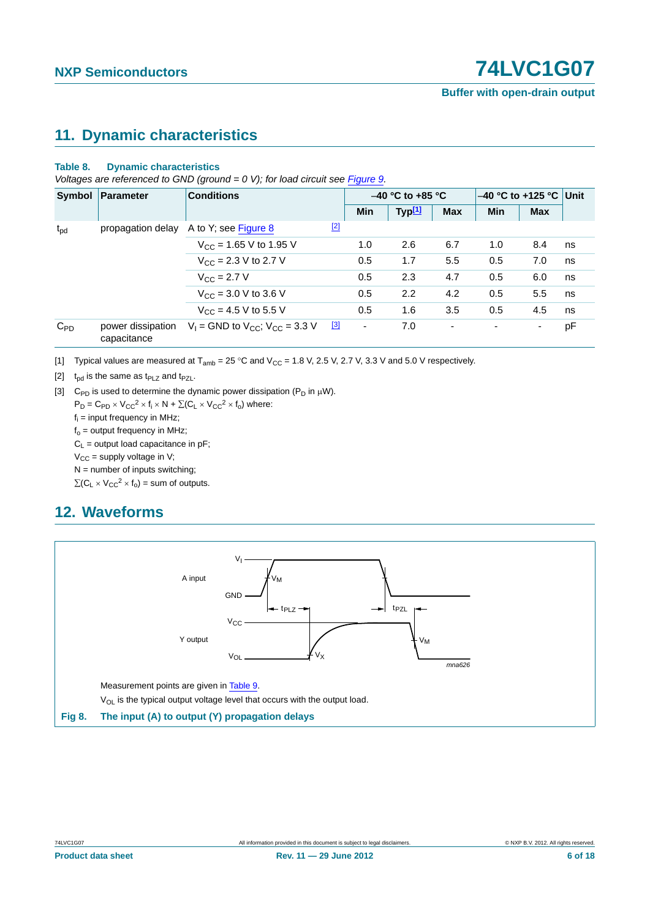## <span id="page-5-4"></span>**11. Dynamic characteristics**

#### **Table 8. Dynamic characteristics**

*Voltages are referenced to GND (ground = 0 V); for load circuit see [Figure 9.](#page-6-0)* 

|                 | Symbol Parameter                 | <b>Conditions</b>                          |             | $-40$ °C to +85 °C |                    |                | $-40$ °C to +125 °C Unit |            |    |
|-----------------|----------------------------------|--------------------------------------------|-------------|--------------------|--------------------|----------------|--------------------------|------------|----|
|                 |                                  |                                            |             | Min                | Typ <sup>[1]</sup> | <b>Max</b>     | <b>Min</b>               | <b>Max</b> |    |
| $t_{\text{pd}}$ | propagation delay                | A to Y; see Figure 8                       | $[2]$       |                    |                    |                |                          |            |    |
|                 |                                  | $V_{CC}$ = 1.65 V to 1.95 V                |             | 1.0                | 2.6                | 6.7            | 1.0                      | 8.4        | ns |
|                 |                                  | $V_{\text{CC}} = 2.3 \text{ V}$ to 2.7 V   |             | 0.5                | 1.7                | 5.5            | 0.5                      | 7.0        | ns |
|                 |                                  | $V_{C}$ = 2.7 V                            |             | 0.5                | 2.3                | 4.7            | 0.5                      | 6.0        | ns |
|                 |                                  | $V_{CC}$ = 3.0 V to 3.6 V                  |             | 0.5                | 2.2                | 4.2            | 0.5                      | 5.5        | ns |
|                 |                                  | $V_{CC}$ = 4.5 V to 5.5 V                  |             | 0.5                | 1.6                | 3.5            | 0.5                      | 4.5        | ns |
| $C_{PD}$        | power dissipation<br>capacitance | $V_1$ = GND to $V_{CC}$ ; $V_{CC}$ = 3.3 V | $\boxed{3}$ | ٠                  | 7.0                | $\blacksquare$ |                          |            | pF |

<span id="page-5-0"></span>[1] Typical values are measured at  $T_{amb} = 25 \degree C$  and  $V_{CC} = 1.8 \text{ V}$ , 2.5 V, 2.7 V, 3.3 V and 5.0 V respectively.

<span id="page-5-2"></span>[2]  $t_{\text{od}}$  is the same as  $t_{\text{PLZ}}$  and  $t_{\text{PZL}}$ .

<span id="page-5-3"></span>[3] C<sub>PD</sub> is used to determine the dynamic power dissipation ( $P_D$  in  $\mu$ W).

 $P_D = C_{PD} \times V_{CC}^2 \times f_i \times N + \Sigma (C_L \times V_{CC}^2 \times f_o)$  where:  $f_i$  = input frequency in MHz;

 $f_0$  = output frequency in MHz;

 $C_1$  = output load capacitance in pF;

 $V_{CC}$  = supply voltage in V;

 $N =$  number of inputs switching;

 $\Sigma(C_L \times V_{CC}^2 \times f_0) =$  sum of outputs.

## <span id="page-5-5"></span>**12. Waveforms**



<span id="page-5-1"></span>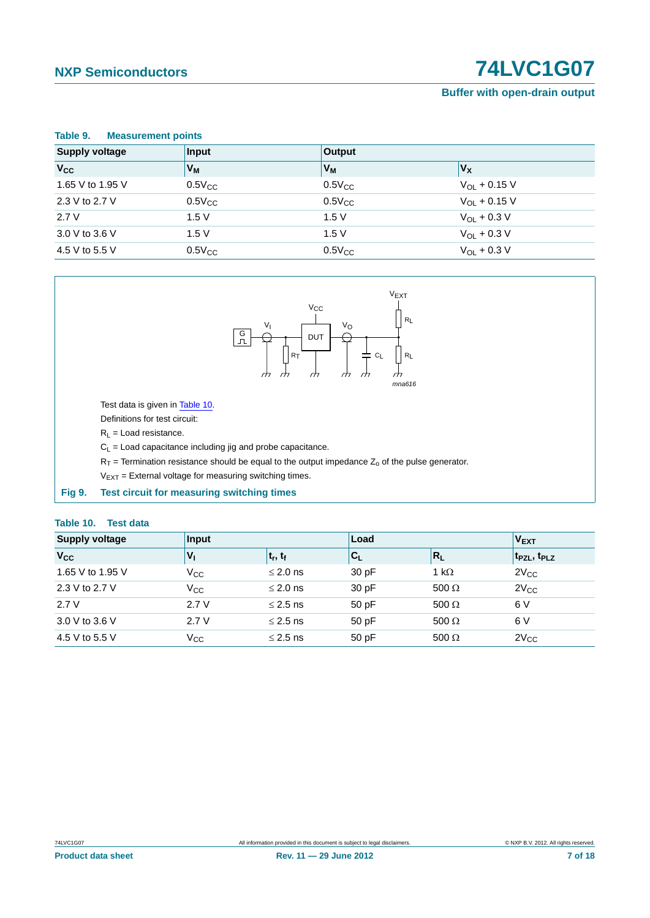#### **Buffer with open-drain output**

<span id="page-6-1"></span>

| Table 9.<br><b>Measurement points</b> |                        |             |                   |  |  |
|---------------------------------------|------------------------|-------------|-------------------|--|--|
| <b>Supply voltage</b>                 | Input<br><b>Output</b> |             |                   |  |  |
| $V_{CC}$                              | V <sub>M</sub>         | Vм          | $V_X$             |  |  |
| 1.65 V to 1.95 V                      | $0.5V_{CC}$            | $0.5V_{CC}$ | $V_{OL}$ + 0.15 V |  |  |
| 2.3 V to 2.7 V                        | $0.5V_{CC}$            | $0.5V_{CC}$ | $V_{OL}$ + 0.15 V |  |  |
| 2.7V                                  | 1.5V                   | 1.5V        | $V_{OL}$ + 0.3 V  |  |  |
| 3.0 V to 3.6 V                        | 1.5V                   | 1.5V        | $V_{OL}$ + 0.3 V  |  |  |
| 4.5 V to 5.5 V                        | $0.5V_{CC}$            | $0.5V_{CC}$ | $V_{OL}$ + 0.3 V  |  |  |



Test data is given in [Table 10.](#page-6-2)

Definitions for test circuit:

 $R_L$  = Load resistance.

 $C_L$  = Load capacitance including jig and probe capacitance.

 $R_T$  = Termination resistance should be equal to the output impedance  $Z_0$  of the pulse generator.

 $V_{EXT}$  = External voltage for measuring switching times.

<span id="page-6-0"></span>**Fig 9. Test circuit for measuring switching times**

#### <span id="page-6-2"></span>**Table 10. Test data**

| <b>Supply voltage</b> | Input          |               | Load                      |              | <b>VEXT</b>          |
|-----------------------|----------------|---------------|---------------------------|--------------|----------------------|
| <b>V<sub>cc</sub></b> | V <sub>I</sub> | $t_r, t_f$    | $\mathsf{C}_{\mathsf{L}}$ | $R_L$        | $ t_{PZL}, t_{PLZ} $ |
| 1.65 V to 1.95 V      | $V_{\rm CC}$   | $\leq$ 2.0 ns | 30 pF                     | 1 k $\Omega$ | $2V_{CC}$            |
| 2.3 V to 2.7 V        | $V_{\rm CC}$   | $\leq$ 2.0 ns | 30 pF                     | 500 $\Omega$ | $2V_{CC}$            |
| 2.7V                  | 2.7V           | $\leq$ 2.5 ns | 50 pF                     | 500 $\Omega$ | 6 V                  |
| 3.0 V to 3.6 V        | 2.7V           | $\leq$ 2.5 ns | 50 pF                     | 500 $\Omega$ | 6 V                  |
| 4.5 V to 5.5 V        | Vcc            | $\leq$ 2.5 ns | 50 pF                     | $500 \Omega$ | $2V_{CC}$            |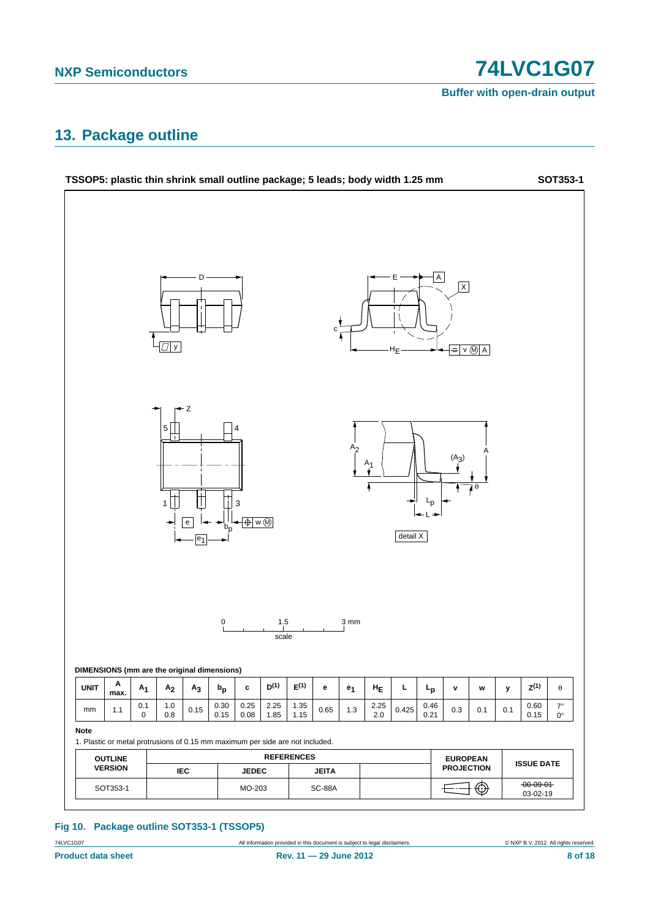**Buffer with open-drain output**

### <span id="page-7-0"></span>**13. Package outline**



#### **Fig 10. Package outline SOT353-1 (TSSOP5)**

74LVC1G07 All information provided in this document is subject to legal disclaimers. © NXP B.V. 2012. All rights reserved.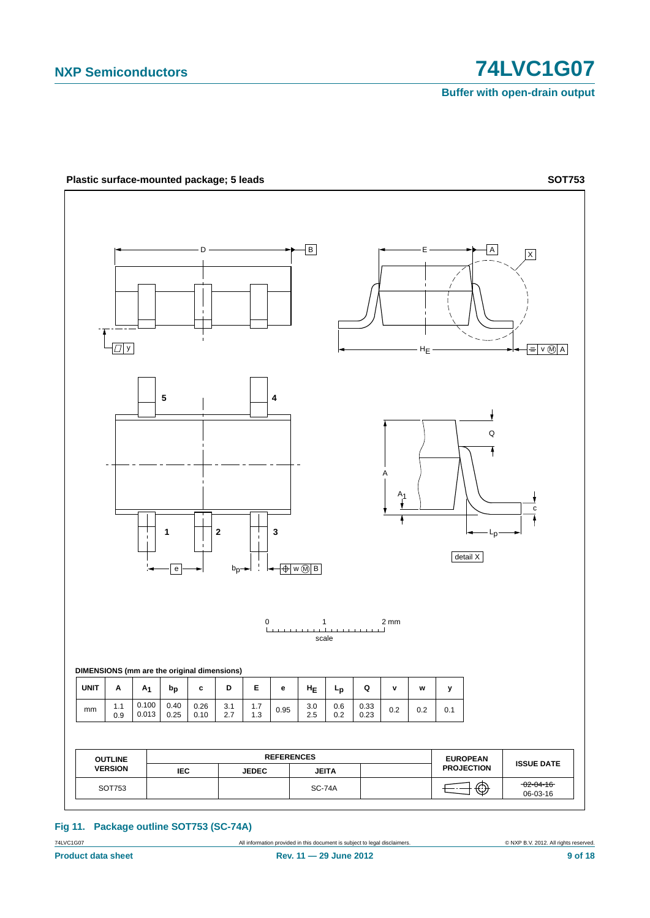**Buffer with open-drain output**



**Fig 11. Package outline SOT753 (SC-74A)**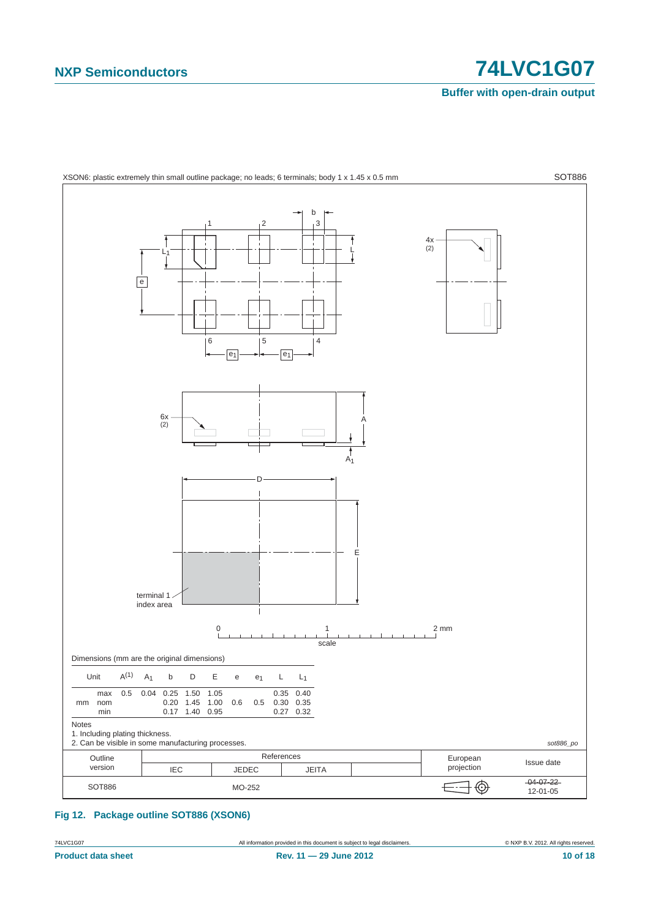**Buffer with open-drain output**



<span id="page-9-0"></span>**Fig 12. Package outline SOT886 (XSON6)**

74LVC1G07 All information provided in this document is subject to legal disclaimers. © NXP B.V. 2012. All rights reserved.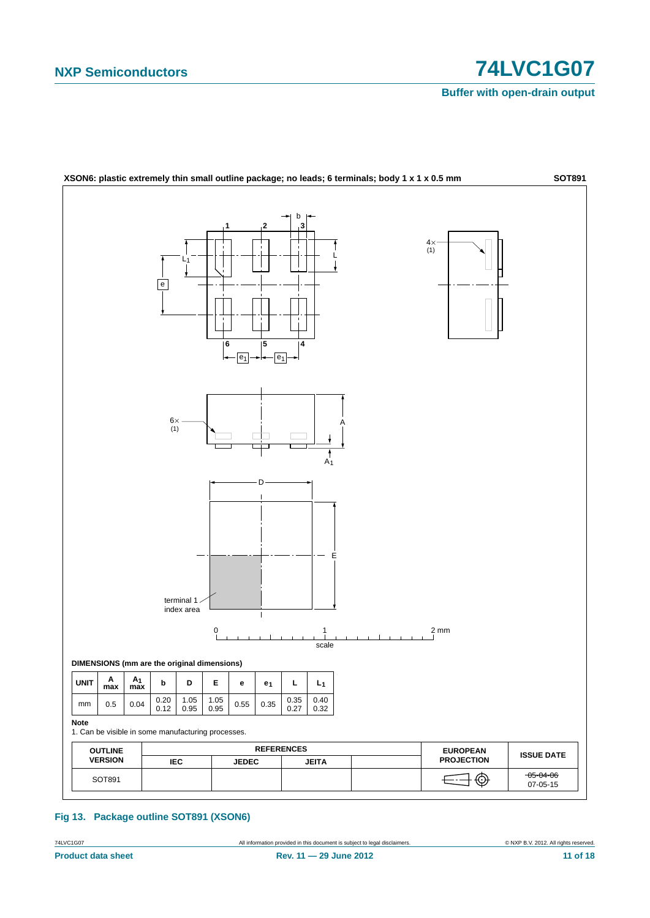## **NXP Semiconductors 12021 12031 1204 1205 1206 1207**

**Buffer with open-drain output**



#### **Fig 13. Package outline SOT891 (XSON6)**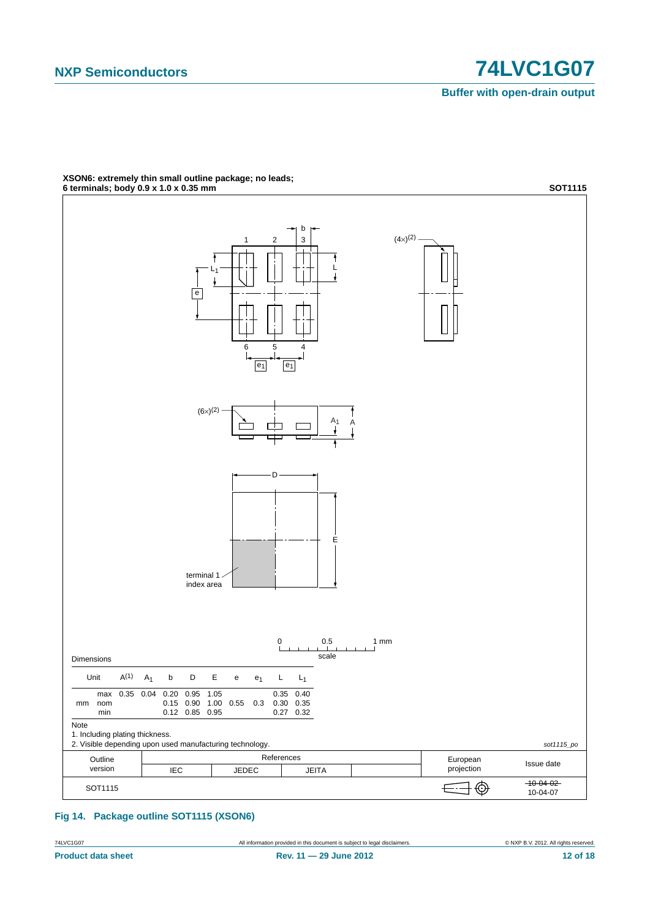**Buffer with open-drain output**



## **XSON6: extremely thin small outline package; no leads;**

**Fig 14. Package outline SOT1115 (XSON6)**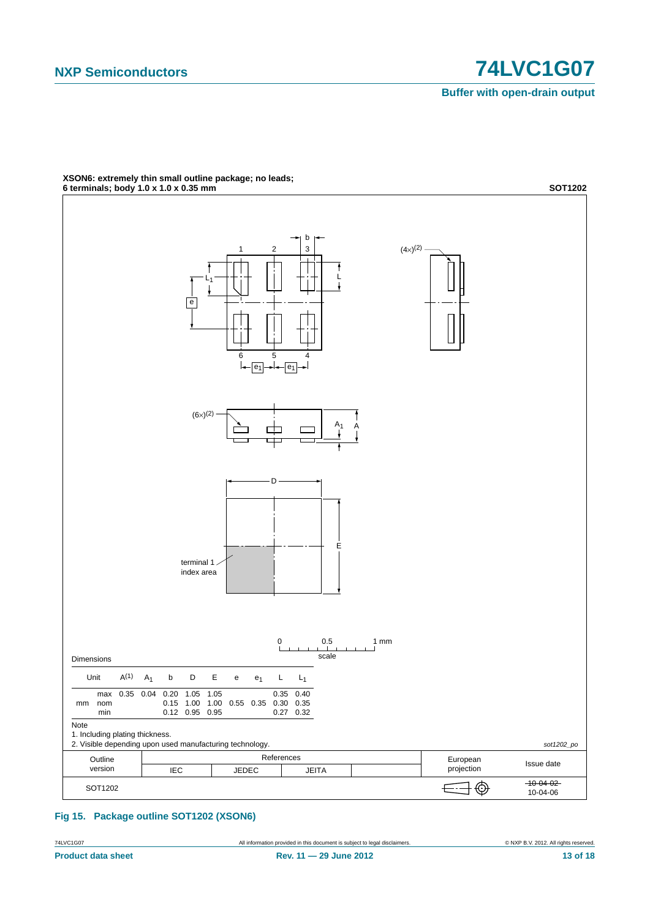**Buffer with open-drain output**



**XSON6: extremely thin small outline package; no leads;**

**Fig 15. Package outline SOT1202 (XSON6)**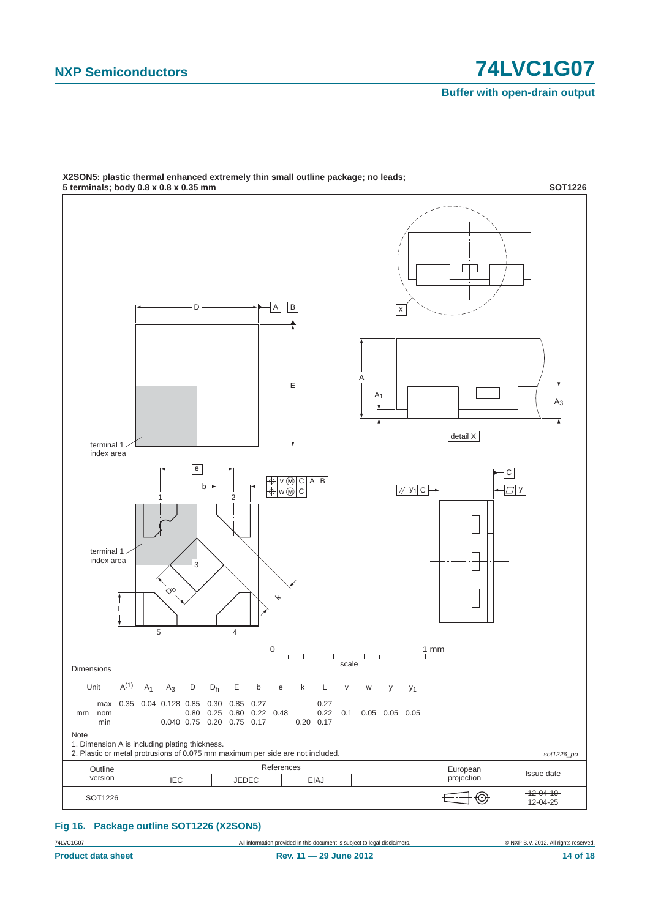**Buffer with open-drain output**



**X2SON5: plastic thermal enhanced extremely thin small outline package; no leads;**

**Fig 16. Package outline SOT1226 (X2SON5)**

74LVC1G07 All information provided in this document is subject to legal disclaimers. © NXP B.V. 2012. All rights reserved.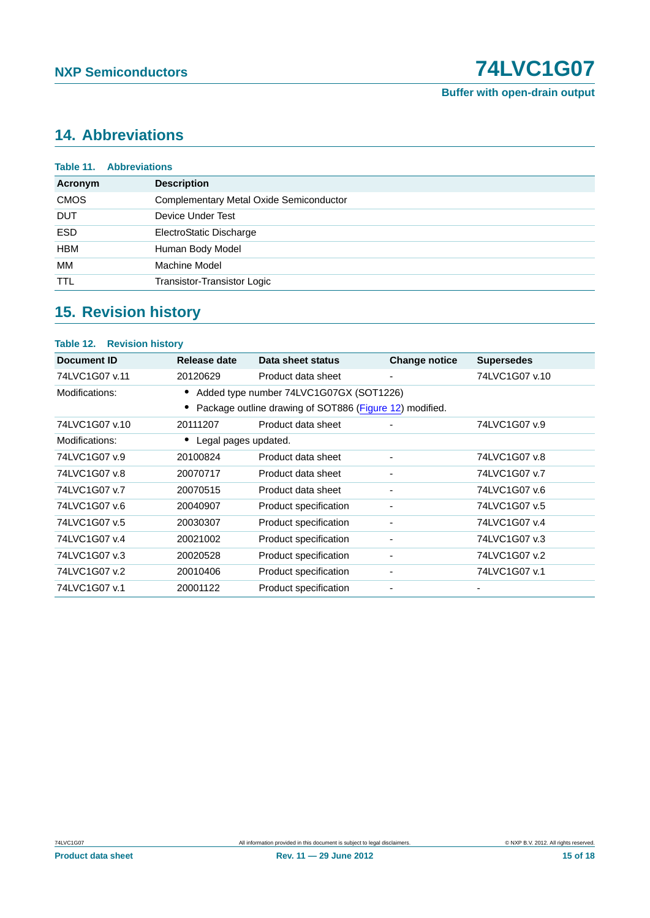## <span id="page-14-0"></span>**14. Abbreviations**

|             | <b>Table 11. Abbreviations</b>                 |
|-------------|------------------------------------------------|
| Acronym     | <b>Description</b>                             |
| <b>CMOS</b> | <b>Complementary Metal Oxide Semiconductor</b> |
| <b>DUT</b>  | Device Under Test                              |
| <b>ESD</b>  | ElectroStatic Discharge                        |
| <b>HBM</b>  | Human Body Model                               |
| МM          | Machine Model                                  |
| <b>TTL</b>  | Transistor-Transistor Logic                    |

### <span id="page-14-1"></span>**15. Revision history**

### **Table 12. Revision history Document ID Release date Data sheet status Change notice Supersedes** 74LVC1G07 v.11 20120629 Product data sheet - 74LVC1G07 v.10 Modifications: **•** Added type number 74LVC1G07GX (SOT1226) **•** Package outline drawing of SOT886 [\(Figure 12](#page-9-0)) modified. 74LVC1G07 v.10 20111207 Product data sheet - 74LVC1G07 v.9 Modifications: **•** Legal pages updated. 74LVC1G07 v.9 20100824 Product data sheet - 74LVC1G07 v.8 74LVC1G07 v.8 20070717 Product data sheet - 74LVC1G07 v.7 74LVC1G07 v.7 20070515 Product data sheet - 74LVC1G07 v.6 74LVC1G07 v.6 20040907 Product specification - 74LVC1G07 v.5 74LVC1G07 v.5 20030307 Product specification - 74LVC1G07 v.4 74LVC1G07 v.4 20021002 Product specification - 74LVC1G07 v.3 74LVC1G07 v.3 20020528 Product specification - 74LVC1G07 v.2 74LVC1G07 v.2 20010406 Product specification - 74LVC1G07 v.1 74LVC1G07 v.1 20001122 Product specification - -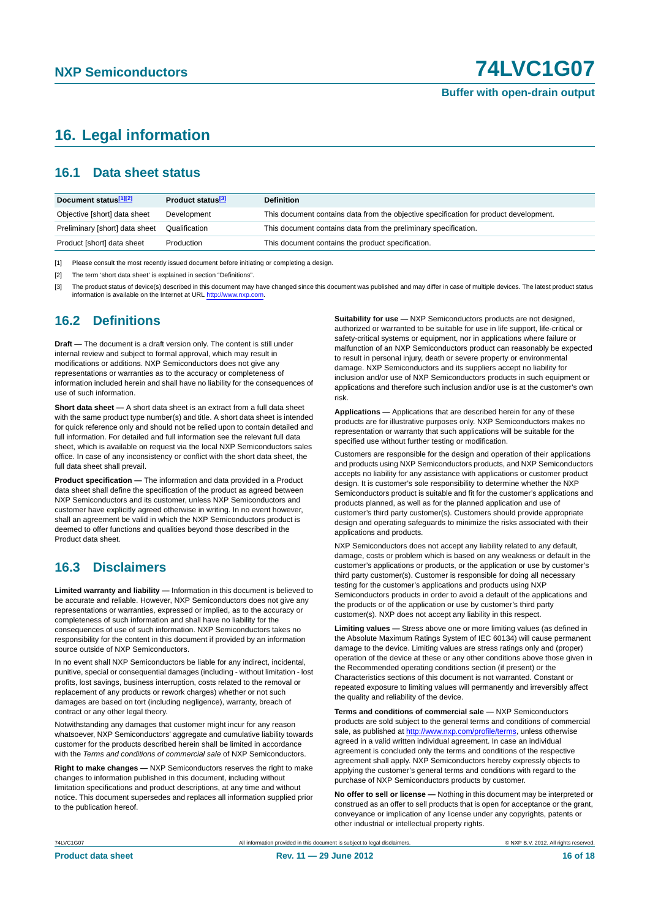## <span id="page-15-0"></span>**16. Legal information**

#### <span id="page-15-1"></span>**16.1 Data sheet status**

| Document status[1][2]          | Product status <sup>[3]</sup> | <b>Definition</b>                                                                     |
|--------------------------------|-------------------------------|---------------------------------------------------------------------------------------|
| Objective [short] data sheet   | Development                   | This document contains data from the objective specification for product development. |
| Preliminary [short] data sheet | Qualification                 | This document contains data from the preliminary specification.                       |
| Product [short] data sheet     | Production                    | This document contains the product specification.                                     |

[1] Please consult the most recently issued document before initiating or completing a design.

[2] The term 'short data sheet' is explained in section "Definitions".

[3] The product status of device(s) described in this document may have changed since this document was published and may differ in case of multiple devices. The latest product status<br>information is available on the Intern

#### <span id="page-15-2"></span>**16.2 Definitions**

**Draft —** The document is a draft version only. The content is still under internal review and subject to formal approval, which may result in modifications or additions. NXP Semiconductors does not give any representations or warranties as to the accuracy or completeness of information included herein and shall have no liability for the consequences of use of such information.

**Short data sheet —** A short data sheet is an extract from a full data sheet with the same product type number(s) and title. A short data sheet is intended for quick reference only and should not be relied upon to contain detailed and full information. For detailed and full information see the relevant full data sheet, which is available on request via the local NXP Semiconductors sales office. In case of any inconsistency or conflict with the short data sheet, the full data sheet shall prevail.

**Product specification —** The information and data provided in a Product data sheet shall define the specification of the product as agreed between NXP Semiconductors and its customer, unless NXP Semiconductors and customer have explicitly agreed otherwise in writing. In no event however, shall an agreement be valid in which the NXP Semiconductors product is deemed to offer functions and qualities beyond those described in the Product data sheet.

#### <span id="page-15-3"></span>**16.3 Disclaimers**

**Limited warranty and liability —** Information in this document is believed to be accurate and reliable. However, NXP Semiconductors does not give any representations or warranties, expressed or implied, as to the accuracy or completeness of such information and shall have no liability for the consequences of use of such information. NXP Semiconductors takes no responsibility for the content in this document if provided by an information source outside of NXP Semiconductors.

In no event shall NXP Semiconductors be liable for any indirect, incidental, punitive, special or consequential damages (including - without limitation - lost profits, lost savings, business interruption, costs related to the removal or replacement of any products or rework charges) whether or not such damages are based on tort (including negligence), warranty, breach of contract or any other legal theory.

Notwithstanding any damages that customer might incur for any reason whatsoever, NXP Semiconductors' aggregate and cumulative liability towards customer for the products described herein shall be limited in accordance with the *Terms and conditions of commercial sale* of NXP Semiconductors.

**Right to make changes —** NXP Semiconductors reserves the right to make changes to information published in this document, including without limitation specifications and product descriptions, at any time and without notice. This document supersedes and replaces all information supplied prior to the publication hereof.

**Suitability for use —** NXP Semiconductors products are not designed, authorized or warranted to be suitable for use in life support, life-critical or safety-critical systems or equipment, nor in applications where failure or malfunction of an NXP Semiconductors product can reasonably be expected to result in personal injury, death or severe property or environmental damage. NXP Semiconductors and its suppliers accept no liability for inclusion and/or use of NXP Semiconductors products in such equipment or applications and therefore such inclusion and/or use is at the customer's own risk.

**Applications —** Applications that are described herein for any of these products are for illustrative purposes only. NXP Semiconductors makes no representation or warranty that such applications will be suitable for the specified use without further testing or modification.

Customers are responsible for the design and operation of their applications and products using NXP Semiconductors products, and NXP Semiconductors accepts no liability for any assistance with applications or customer product design. It is customer's sole responsibility to determine whether the NXP Semiconductors product is suitable and fit for the customer's applications and products planned, as well as for the planned application and use of customer's third party customer(s). Customers should provide appropriate design and operating safeguards to minimize the risks associated with their applications and products.

NXP Semiconductors does not accept any liability related to any default, damage, costs or problem which is based on any weakness or default in the customer's applications or products, or the application or use by customer's third party customer(s). Customer is responsible for doing all necessary testing for the customer's applications and products using NXP Semiconductors products in order to avoid a default of the applications and the products or of the application or use by customer's third party customer(s). NXP does not accept any liability in this respect.

**Limiting values —** Stress above one or more limiting values (as defined in the Absolute Maximum Ratings System of IEC 60134) will cause permanent damage to the device. Limiting values are stress ratings only and (proper) operation of the device at these or any other conditions above those given in the Recommended operating conditions section (if present) or the Characteristics sections of this document is not warranted. Constant or repeated exposure to limiting values will permanently and irreversibly affect the quality and reliability of the device.

**Terms and conditions of commercial sale —** NXP Semiconductors products are sold subject to the general terms and conditions of commercial sale, as published at<http://www.nxp.com/profile/terms>, unless otherwise agreed in a valid written individual agreement. In case an individual agreement is concluded only the terms and conditions of the respective agreement shall apply. NXP Semiconductors hereby expressly objects to applying the customer's general terms and conditions with regard to the purchase of NXP Semiconductors products by customer.

**No offer to sell or license —** Nothing in this document may be interpreted or construed as an offer to sell products that is open for acceptance or the grant, conveyance or implication of any license under any copyrights, patents or other industrial or intellectual property rights.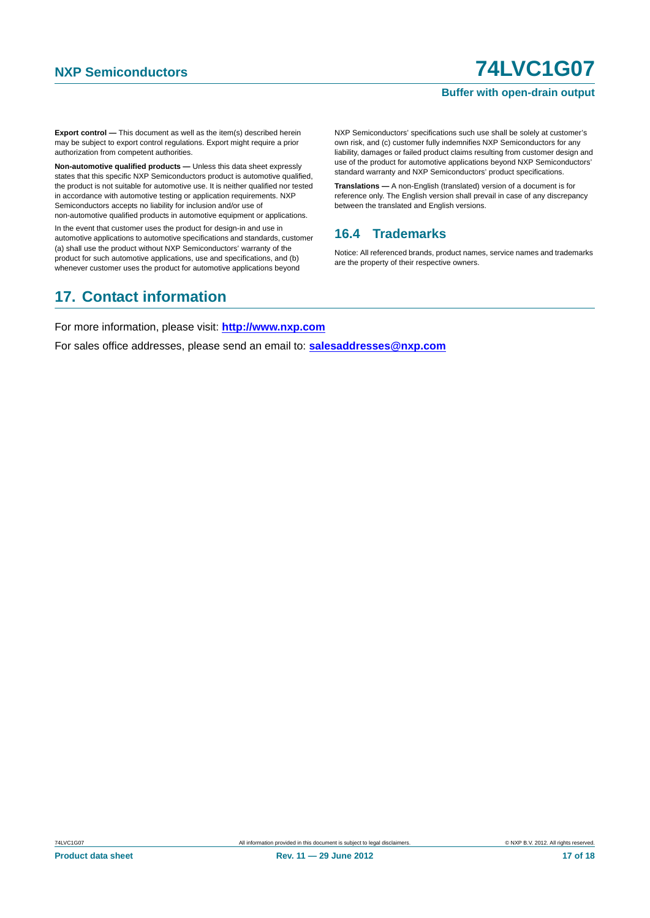#### **Buffer with open-drain output**

**Export control —** This document as well as the item(s) described herein may be subject to export control regulations. Export might require a prior authorization from competent authorities.

**Non-automotive qualified products —** Unless this data sheet expressly states that this specific NXP Semiconductors product is automotive qualified, the product is not suitable for automotive use. It is neither qualified nor tested in accordance with automotive testing or application requirements. NXP Semiconductors accepts no liability for inclusion and/or use of non-automotive qualified products in automotive equipment or applications.

In the event that customer uses the product for design-in and use in automotive applications to automotive specifications and standards, customer (a) shall use the product without NXP Semiconductors' warranty of the product for such automotive applications, use and specifications, and (b) whenever customer uses the product for automotive applications beyond

NXP Semiconductors' specifications such use shall be solely at customer's own risk, and (c) customer fully indemnifies NXP Semiconductors for any liability, damages or failed product claims resulting from customer design and use of the product for automotive applications beyond NXP Semiconductors' standard warranty and NXP Semiconductors' product specifications.

**Translations —** A non-English (translated) version of a document is for reference only. The English version shall prevail in case of any discrepancy between the translated and English versions.

#### <span id="page-16-0"></span>**16.4 Trademarks**

Notice: All referenced brands, product names, service names and trademarks are the property of their respective owners.

## <span id="page-16-1"></span>**17. Contact information**

For more information, please visit: **http://www.nxp.com**

For sales office addresses, please send an email to: **salesaddresses@nxp.com**